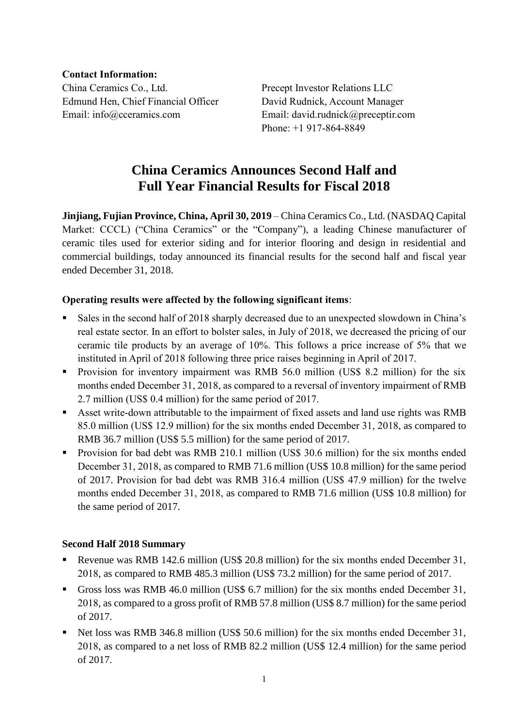**Contact Information:** China Ceramics Co., Ltd. Precept Investor Relations LLC Edmund Hen, Chief Financial Officer David Rudnick, Account Manager Email: info@cceramics.com Email: david.rudnick@preceptir.com

Phone: +1 917-864-8849

# **China Ceramics Announces Second Half and Full Year Financial Results for Fiscal 2018**

**Jinjiang, Fujian Province, China, April 30, 2019** – China Ceramics Co., Ltd. (NASDAQ Capital Market: CCCL) ("China Ceramics" or the "Company"), a leading Chinese manufacturer of ceramic tiles used for exterior siding and for interior flooring and design in residential and commercial buildings, today announced its financial results for the second half and fiscal year ended December 31, 2018.

# **Operating results were affected by the following significant items**:

- Sales in the second half of 2018 sharply decreased due to an unexpected slowdown in China's real estate sector. In an effort to bolster sales, in July of 2018, we decreased the pricing of our ceramic tile products by an average of 10%. This follows a price increase of 5% that we instituted in April of 2018 following three price raises beginning in April of 2017.
- **•** Provision for inventory impairment was RMB 56.0 million (US\$ 8.2 million) for the six months ended December 31, 2018, as compared to a reversal of inventory impairment of RMB 2.7 million (US\$ 0.4 million) for the same period of 2017.
- Asset write-down attributable to the impairment of fixed assets and land use rights was RMB 85.0 million (US\$ 12.9 million) for the six months ended December 31, 2018, as compared to RMB 36.7 million (US\$ 5.5 million) for the same period of 2017.
- Provision for bad debt was RMB 210.1 million (US\$ 30.6 million) for the six months ended December 31, 2018, as compared to RMB 71.6 million (US\$ 10.8 million) for the same period of 2017. Provision for bad debt was RMB 316.4 million (US\$ 47.9 million) for the twelve months ended December 31, 2018, as compared to RMB 71.6 million (US\$ 10.8 million) for the same period of 2017.

# **Second Half 2018 Summary**

- Revenue was RMB 142.6 million (US\$ 20.8 million) for the six months ended December 31, 2018, as compared to RMB 485.3 million (US\$ 73.2 million) for the same period of 2017.
- Gross loss was RMB 46.0 million (US\$ 6.7 million) for the six months ended December 31, 2018, as compared to a gross profit of RMB 57.8 million (US\$ 8.7 million) for the same period of 2017.
- Net loss was RMB 346.8 million (US\$ 50.6 million) for the six months ended December 31, 2018, as compared to a net loss of RMB 82.2 million (US\$ 12.4 million) for the same period of 2017.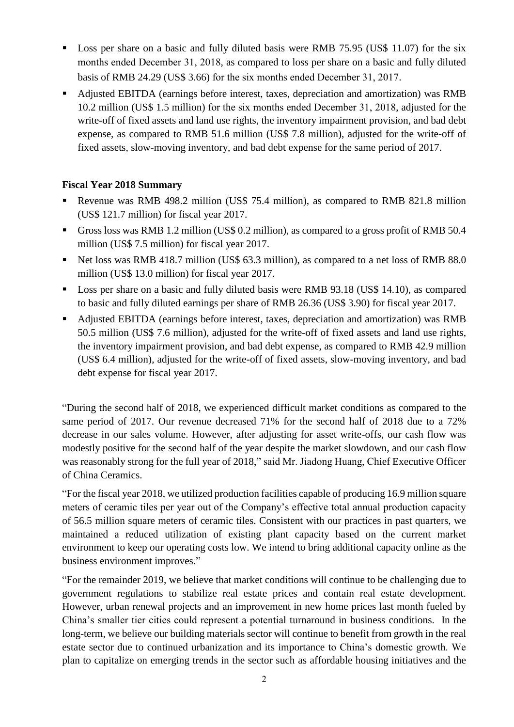- Loss per share on a basic and fully diluted basis were RMB 75.95 (US\$ 11.07) for the six months ended December 31, 2018, as compared to loss per share on a basic and fully diluted basis of RMB 24.29 (US\$ 3.66) for the six months ended December 31, 2017.
- Adjusted EBITDA (earnings before interest, taxes, depreciation and amortization) was RMB 10.2 million (US\$ 1.5 million) for the six months ended December 31, 2018, adjusted for the write-off of fixed assets and land use rights, the inventory impairment provision, and bad debt expense, as compared to RMB 51.6 million (US\$ 7.8 million), adjusted for the write-off of fixed assets, slow-moving inventory, and bad debt expense for the same period of 2017.

# **Fiscal Year 2018 Summary**

- Revenue was RMB 498.2 million (US\$ 75.4 million), as compared to RMB 821.8 million (US\$ 121.7 million) for fiscal year 2017.
- Gross loss was RMB 1.2 million (US\$ 0.2 million), as compared to a gross profit of RMB 50.4 million (US\$ 7.5 million) for fiscal year 2017.
- Net loss was RMB 418.7 million (US\$ 63.3 million), as compared to a net loss of RMB 88.0 million (US\$ 13.0 million) for fiscal year 2017.
- Loss per share on a basic and fully diluted basis were RMB 93.18 (US\$ 14.10), as compared to basic and fully diluted earnings per share of RMB 26.36 (US\$ 3.90) for fiscal year 2017.
- Adjusted EBITDA (earnings before interest, taxes, depreciation and amortization) was RMB 50.5 million (US\$ 7.6 million), adjusted for the write-off of fixed assets and land use rights, the inventory impairment provision, and bad debt expense, as compared to RMB 42.9 million (US\$ 6.4 million), adjusted for the write-off of fixed assets, slow-moving inventory, and bad debt expense for fiscal year 2017.

"During the second half of 2018, we experienced difficult market conditions as compared to the same period of 2017. Our revenue decreased 71% for the second half of 2018 due to a 72% decrease in our sales volume. However, after adjusting for asset write-offs, our cash flow was modestly positive for the second half of the year despite the market slowdown, and our cash flow was reasonably strong for the full year of 2018," said Mr. Jiadong Huang, Chief Executive Officer of China Ceramics.

"For the fiscal year 2018, we utilized production facilities capable of producing 16.9 million square meters of ceramic tiles per year out of the Company's effective total annual production capacity of 56.5 million square meters of ceramic tiles. Consistent with our practices in past quarters, we maintained a reduced utilization of existing plant capacity based on the current market environment to keep our operating costs low. We intend to bring additional capacity online as the business environment improves."

"For the remainder 2019, we believe that market conditions will continue to be challenging due to government regulations to stabilize real estate prices and contain real estate development. However, urban renewal projects and an improvement in new home prices last month fueled by China's smaller tier cities could represent a potential turnaround in business conditions. In the long-term, we believe our building materials sector will continue to benefit from growth in the real estate sector due to continued urbanization and its importance to China's domestic growth. We plan to capitalize on emerging trends in the sector such as affordable housing initiatives and the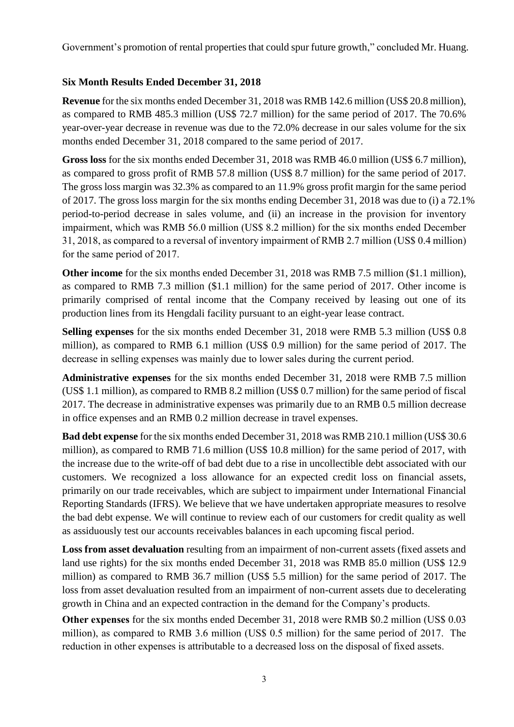Government's promotion of rental properties that could spur future growth," concluded Mr. Huang.

# **Six Month Results Ended December 31, 2018**

**Revenue** for the six months ended December 31, 2018 was RMB 142.6 million (US\$ 20.8 million), as compared to RMB 485.3 million (US\$ 72.7 million) for the same period of 2017. The 70.6% year-over-year decrease in revenue was due to the 72.0% decrease in our sales volume for the six months ended December 31, 2018 compared to the same period of 2017.

**Gross loss** for the six months ended December 31, 2018 was RMB 46.0 million (US\$ 6.7 million), as compared to gross profit of RMB 57.8 million (US\$ 8.7 million) for the same period of 2017. The gross loss margin was 32.3% as compared to an 11.9% gross profit margin for the same period of 2017. The gross loss margin for the six months ending December 31, 2018 was due to (i) a 72.1% period-to-period decrease in sales volume, and (ii) an increase in the provision for inventory impairment, which was RMB 56.0 million (US\$ 8.2 million) for the six months ended December 31, 2018, as compared to a reversal of inventory impairment of RMB 2.7 million (US\$ 0.4 million) for the same period of 2017.

**Other income** for the six months ended December 31, 2018 was RMB 7.5 million (\$1.1 million), as compared to RMB 7.3 million (\$1.1 million) for the same period of 2017. Other income is primarily comprised of rental income that the Company received by leasing out one of its production lines from its Hengdali facility pursuant to an eight-year lease contract.

**Selling expenses** for the six months ended December 31, 2018 were RMB 5.3 million (US\$ 0.8 million), as compared to RMB 6.1 million (US\$ 0.9 million) for the same period of 2017. The decrease in selling expenses was mainly due to lower sales during the current period.

**Administrative expenses** for the six months ended December 31, 2018 were RMB 7.5 million (US\$ 1.1 million), as compared to RMB 8.2 million (US\$ 0.7 million) for the same period of fiscal 2017. The decrease in administrative expenses was primarily due to an RMB 0.5 million decrease in office expenses and an RMB 0.2 million decrease in travel expenses.

**Bad debt expense** for the six months ended December 31, 2018 was RMB 210.1 million (US\$ 30.6 million), as compared to RMB 71.6 million (US\$ 10.8 million) for the same period of 2017, with the increase due to the write-off of bad debt due to a rise in uncollectible debt associated with our customers. We recognized a loss allowance for an expected credit loss on financial assets, primarily on our trade receivables, which are subject to impairment under International Financial Reporting Standards (IFRS). We believe that we have undertaken appropriate measures to resolve the bad debt expense. We will continue to review each of our customers for credit quality as well as assiduously test our accounts receivables balances in each upcoming fiscal period.

**Loss from asset devaluation** resulting from an impairment of non-current assets (fixed assets and land use rights) for the six months ended December 31, 2018 was RMB 85.0 million (US\$ 12.9 million) as compared to RMB 36.7 million (US\$ 5.5 million) for the same period of 2017. The loss from asset devaluation resulted from an impairment of non-current assets due to decelerating growth in China and an expected contraction in the demand for the Company's products.

**Other expenses** for the six months ended December 31, 2018 were RMB \$0.2 million (US\$ 0.03 million), as compared to RMB 3.6 million (US\$ 0.5 million) for the same period of 2017. The reduction in other expenses is attributable to a decreased loss on the disposal of fixed assets.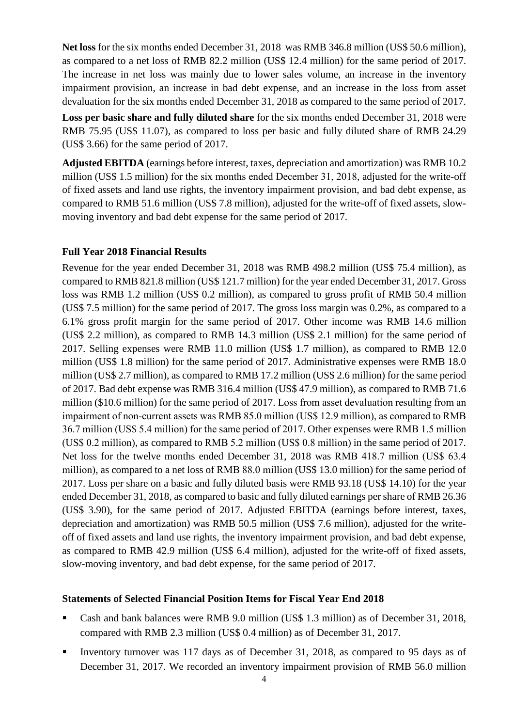**Net loss** for the six months ended December 31, 2018 was RMB 346.8 million (US\$ 50.6 million), as compared to a net loss of RMB 82.2 million (US\$ 12.4 million) for the same period of 2017. The increase in net loss was mainly due to lower sales volume, an increase in the inventory impairment provision, an increase in bad debt expense, and an increase in the loss from asset devaluation for the six months ended December 31, 2018 as compared to the same period of 2017.

**Loss per basic share and fully diluted share** for the six months ended December 31, 2018 were RMB 75.95 (US\$ 11.07), as compared to loss per basic and fully diluted share of RMB 24.29 (US\$ 3.66) for the same period of 2017.

**Adjusted EBITDA** (earnings before interest, taxes, depreciation and amortization) was RMB 10.2 million (US\$ 1.5 million) for the six months ended December 31, 2018, adjusted for the write-off of fixed assets and land use rights, the inventory impairment provision, and bad debt expense, as compared to RMB 51.6 million (US\$ 7.8 million), adjusted for the write-off of fixed assets, slowmoving inventory and bad debt expense for the same period of 2017.

#### **Full Year 2018 Financial Results**

Revenue for the year ended December 31, 2018 was RMB 498.2 million (US\$ 75.4 million), as compared to RMB 821.8 million (US\$ 121.7 million) for the year ended December 31, 2017. Gross loss was RMB 1.2 million (US\$ 0.2 million), as compared to gross profit of RMB 50.4 million (US\$ 7.5 million) for the same period of 2017. The gross loss margin was 0.2%, as compared to a 6.1% gross profit margin for the same period of 2017. Other income was RMB 14.6 million (US\$ 2.2 million), as compared to RMB 14.3 million (US\$ 2.1 million) for the same period of 2017. Selling expenses were RMB 11.0 million (US\$ 1.7 million), as compared to RMB 12.0 million (US\$ 1.8 million) for the same period of 2017. Administrative expenses were RMB 18.0 million (US\$ 2.7 million), as compared to RMB 17.2 million (US\$ 2.6 million) for the same period of 2017. Bad debt expense was RMB 316.4 million (US\$ 47.9 million), as compared to RMB 71.6 million (\$10.6 million) for the same period of 2017. Loss from asset devaluation resulting from an impairment of non-current assets was RMB 85.0 million (US\$ 12.9 million), as compared to RMB 36.7 million (US\$ 5.4 million) for the same period of 2017. Other expenses were RMB 1.5 million (US\$ 0.2 million), as compared to RMB 5.2 million (US\$ 0.8 million) in the same period of 2017. Net loss for the twelve months ended December 31, 2018 was RMB 418.7 million (US\$ 63.4 million), as compared to a net loss of RMB 88.0 million (US\$ 13.0 million) for the same period of 2017. Loss per share on a basic and fully diluted basis were RMB 93.18 (US\$ 14.10) for the year ended December 31, 2018, as compared to basic and fully diluted earnings per share of RMB 26.36 (US\$ 3.90), for the same period of 2017. Adjusted EBITDA (earnings before interest, taxes, depreciation and amortization) was RMB 50.5 million (US\$ 7.6 million), adjusted for the writeoff of fixed assets and land use rights, the inventory impairment provision, and bad debt expense, as compared to RMB 42.9 million (US\$ 6.4 million), adjusted for the write-off of fixed assets, slow-moving inventory, and bad debt expense, for the same period of 2017.

#### **Statements of Selected Financial Position Items for Fiscal Year End 2018**

- Cash and bank balances were RMB 9.0 million (US\$ 1.3 million) as of December 31, 2018, compared with RMB 2.3 million (US\$ 0.4 million) as of December 31, 2017.
- Inventory turnover was 117 days as of December 31, 2018, as compared to 95 days as of December 31, 2017. We recorded an inventory impairment provision of RMB 56.0 million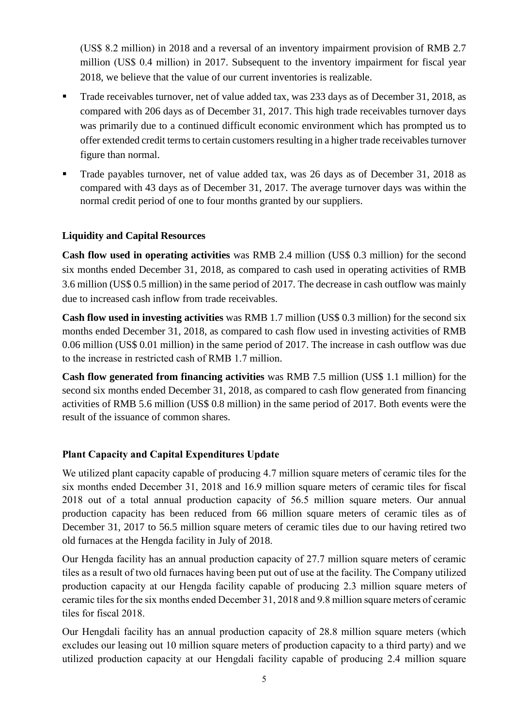(US\$ 8.2 million) in 2018 and a reversal of an inventory impairment provision of RMB 2.7 million (US\$ 0.4 million) in 2017. Subsequent to the inventory impairment for fiscal year 2018, we believe that the value of our current inventories is realizable.

- Trade receivables turnover, net of value added tax, was 233 days as of December 31, 2018, as compared with 206 days as of December 31, 2017. This high trade receivables turnover days was primarily due to a continued difficult economic environment which has prompted us to offer extended credit terms to certain customers resulting in a higher trade receivables turnover figure than normal.
- Trade payables turnover, net of value added tax, was 26 days as of December 31, 2018 as compared with 43 days as of December 31, 2017. The average turnover days was within the normal credit period of one to four months granted by our suppliers.

# **Liquidity and Capital Resources**

**Cash flow used in operating activities** was RMB 2.4 million (US\$ 0.3 million) for the second six months ended December 31, 2018, as compared to cash used in operating activities of RMB 3.6 million (US\$ 0.5 million) in the same period of 2017. The decrease in cash outflow was mainly due to increased cash inflow from trade receivables.

**Cash flow used in investing activities** was RMB 1.7 million (US\$ 0.3 million) for the second six months ended December 31, 2018, as compared to cash flow used in investing activities of RMB 0.06 million (US\$ 0.01 million) in the same period of 2017. The increase in cash outflow was due to the increase in restricted cash of RMB 1.7 million.

**Cash flow generated from financing activities** was RMB 7.5 million (US\$ 1.1 million) for the second six months ended December 31, 2018, as compared to cash flow generated from financing activities of RMB 5.6 million (US\$ 0.8 million) in the same period of 2017. Both events were the result of the issuance of common shares.

# **Plant Capacity and Capital Expenditures Update**

We utilized plant capacity capable of producing 4.7 million square meters of ceramic tiles for the six months ended December 31, 2018 and 16.9 million square meters of ceramic tiles for fiscal 2018 out of a total annual production capacity of 56.5 million square meters. Our annual production capacity has been reduced from 66 million square meters of ceramic tiles as of December 31, 2017 to 56.5 million square meters of ceramic tiles due to our having retired two old furnaces at the Hengda facility in July of 2018.

Our Hengda facility has an annual production capacity of 27.7 million square meters of ceramic tiles as a result of two old furnaces having been put out of use at the facility. The Company utilized production capacity at our Hengda facility capable of producing 2.3 million square meters of ceramic tiles for the six months ended December 31, 2018 and 9.8 million square meters of ceramic tiles for fiscal 2018.

Our Hengdali facility has an annual production capacity of 28.8 million square meters (which excludes our leasing out 10 million square meters of production capacity to a third party) and we utilized production capacity at our Hengdali facility capable of producing 2.4 million square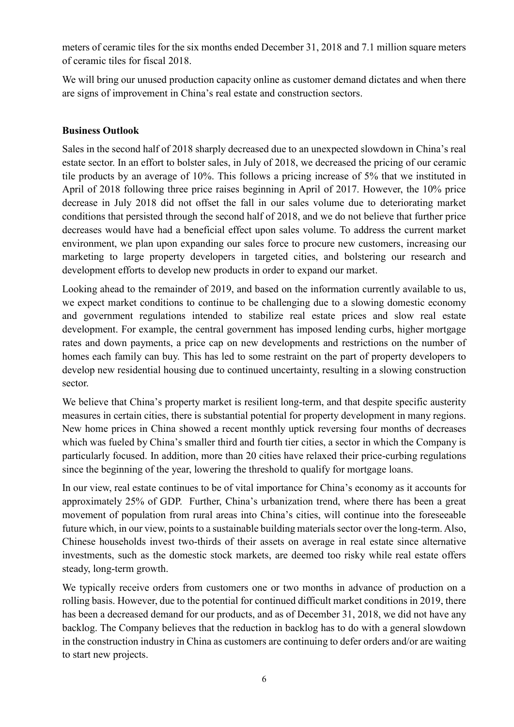meters of ceramic tiles for the six months ended December 31, 2018 and 7.1 million square meters of ceramic tiles for fiscal 2018.

We will bring our unused production capacity online as customer demand dictates and when there are signs of improvement in China's real estate and construction sectors.

# **Business Outlook**

Sales in the second half of 2018 sharply decreased due to an unexpected slowdown in China's real estate sector. In an effort to bolster sales, in July of 2018, we decreased the pricing of our ceramic tile products by an average of 10%. This follows a pricing increase of 5% that we instituted in April of 2018 following three price raises beginning in April of 2017. However, the 10% price decrease in July 2018 did not offset the fall in our sales volume due to deteriorating market conditions that persisted through the second half of 2018, and we do not believe that further price decreases would have had a beneficial effect upon sales volume. To address the current market environment, we plan upon expanding our sales force to procure new customers, increasing our marketing to large property developers in targeted cities, and bolstering our research and development efforts to develop new products in order to expand our market.

Looking ahead to the remainder of 2019, and based on the information currently available to us, we expect market conditions to continue to be challenging due to a slowing domestic economy and government regulations intended to stabilize real estate prices and slow real estate development. For example, the central government has imposed lending curbs, higher mortgage rates and down payments, a price cap on new developments and restrictions on the number of homes each family can buy. This has led to some restraint on the part of property developers to develop new residential housing due to continued uncertainty, resulting in a slowing construction sector.

We believe that China's property market is resilient long-term, and that despite specific austerity measures in certain cities, there is substantial potential for property development in many regions. New home prices in China showed a recent monthly uptick reversing four months of decreases which was fueled by China's smaller third and fourth tier cities, a sector in which the Company is particularly focused. In addition, more than 20 cities have relaxed their price-curbing regulations since the beginning of the year, lowering the threshold to qualify for mortgage loans.

In our view, real estate continues to be of vital importance for China's economy as it accounts for approximately 25% of GDP. Further, China's urbanization trend, where there has been a great movement of population from rural areas into China's cities, will continue into the foreseeable future which, in our view, points to a sustainable building materials sector over the long-term. Also, Chinese households invest two-thirds of their assets on average in real estate since alternative investments, such as the domestic stock markets, are deemed too risky while real estate offers steady, long-term growth.

We typically receive orders from customers one or two months in advance of production on a rolling basis. However, due to the potential for continued difficult market conditions in 2019, there has been a decreased demand for our products, and as of December 31, 2018, we did not have any backlog. The Company believes that the reduction in backlog has to do with a general slowdown in the construction industry in China as customers are continuing to defer orders and/or are waiting to start new projects.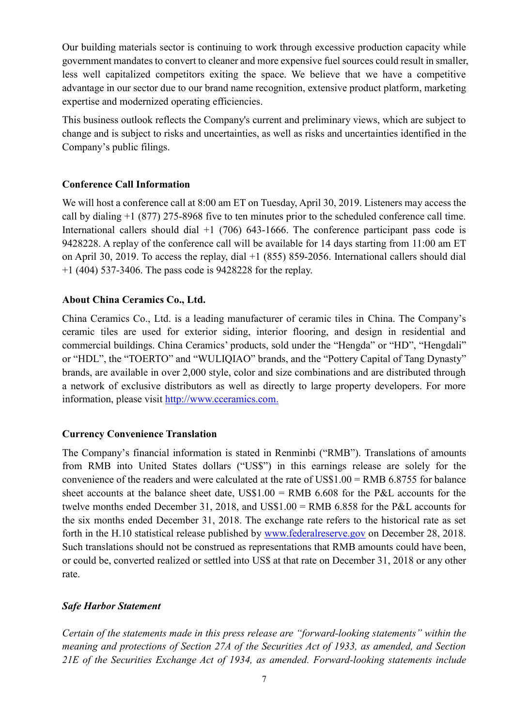Our building materials sector is continuing to work through excessive production capacity while government mandates to convert to cleaner and more expensive fuel sources could result in smaller, less well capitalized competitors exiting the space. We believe that we have a competitive advantage in our sector due to our brand name recognition, extensive product platform, marketing expertise and modernized operating efficiencies.

This business outlook reflects the Company's current and preliminary views, which are subject to change and is subject to risks and uncertainties, as well as risks and uncertainties identified in the Company's public filings.

# **Conference Call Information**

We will host a conference call at 8:00 am ET on Tuesday, April 30, 2019. Listeners may access the call by dialing +1 (877) 275-8968 five to ten minutes prior to the scheduled conference call time. International callers should dial  $+1$  (706) 643-1666. The conference participant pass code is 9428228. A replay of the conference call will be available for 14 days starting from 11:00 am ET on April 30, 2019. To access the replay, dial +1 (855) 859-2056. International callers should dial +1 (404) 537-3406. The pass code is 9428228 for the replay.

# **About China Ceramics Co., Ltd.**

China Ceramics Co., Ltd. is a leading manufacturer of ceramic tiles in China. The Company's ceramic tiles are used for exterior siding, interior flooring, and design in residential and commercial buildings. China Ceramics' products, sold under the "Hengda" or "HD", "Hengdali" or "HDL", the "TOERTO" and "WULIQIAO" brands, and the "Pottery Capital of Tang Dynasty" brands, are available in over 2,000 style, color and size combinations and are distributed through a network of exclusive distributors as well as directly to large property developers. For more information, please visit [http://www.cceramics.com.](http://www.cceramics.com/)

# **Currency Convenience Translation**

The Company's financial information is stated in Renminbi ("RMB"). Translations of amounts from RMB into United States dollars ("US\$") in this earnings release are solely for the convenience of the readers and were calculated at the rate of US\$1.00 = RMB 6.8755 for balance sheet accounts at the balance sheet date,  $USS1.00 = RMB$  6.608 for the P&L accounts for the twelve months ended December 31, 2018, and US\$1.00 = RMB 6.858 for the P&L accounts for the six months ended December 31, 2018. The exchange rate refers to the historical rate as set forth in the H.10 statistical release published by [www.federalreserve.gov](http://www.federalreserve.gov/) on December 28, 2018. Such translations should not be construed as representations that RMB amounts could have been, or could be, converted realized or settled into US\$ at that rate on December 31, 2018 or any other rate.

# *Safe Harbor Statement*

*Certain of the statements made in this press release are "forward-looking statements" within the meaning and protections of Section 27A of the Securities Act of 1933, as amended, and Section 21E of the Securities Exchange Act of 1934, as amended. Forward-looking statements include*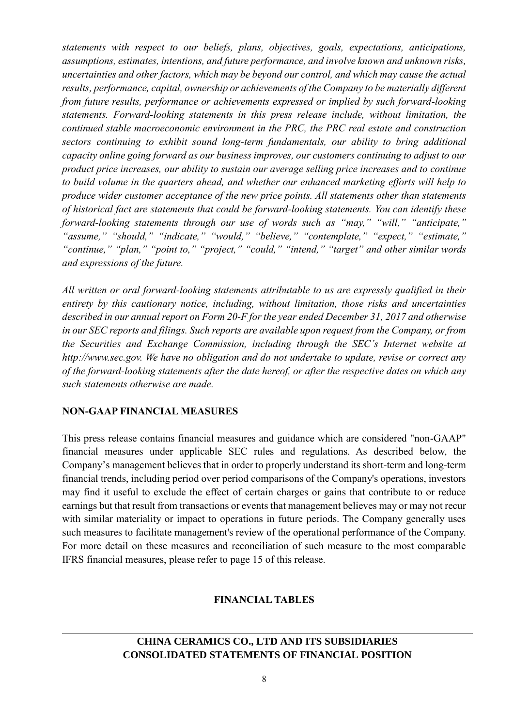*statements with respect to our beliefs, plans, objectives, goals, expectations, anticipations, assumptions, estimates, intentions, and future performance, and involve known and unknown risks, uncertainties and other factors, which may be beyond our control, and which may cause the actual results, performance, capital, ownership or achievements of the Company to be materially different from future results, performance or achievements expressed or implied by such forward-looking statements. Forward-looking statements in this press release include, without limitation, the continued stable macroeconomic environment in the PRC, the PRC real estate and construction sectors continuing to exhibit sound long-term fundamentals, our ability to bring additional capacity online going forward as our business improves, our customers continuing to adjust to our product price increases, our ability to sustain our average selling price increases and to continue to build volume in the quarters ahead, and whether our enhanced marketing efforts will help to produce wider customer acceptance of the new price points. All statements other than statements of historical fact are statements that could be forward-looking statements. You can identify these forward-looking statements through our use of words such as "may," "will," "anticipate," "assume," "should," "indicate," "would," "believe," "contemplate," "expect," "estimate," "continue," "plan," "point to," "project," "could," "intend," "target" and other similar words and expressions of the future.*

*All written or oral forward-looking statements attributable to us are expressly qualified in their entirety by this cautionary notice, including, without limitation, those risks and uncertainties described in our annual report on Form 20-F for the year ended December 31, 2017 and otherwise in our SEC reports and filings. Such reports are available upon request from the Company, or from the Securities and Exchange Commission, including through the SEC's Internet website at http://www.sec.gov. We have no obligation and do not undertake to update, revise or correct any of the forward-looking statements after the date hereof, or after the respective dates on which any such statements otherwise are made.*

#### **NON-GAAP FINANCIAL MEASURES**

This press release contains financial measures and guidance which are considered "non-GAAP" financial measures under applicable SEC rules and regulations. As described below, the Company's management believes that in order to properly understand its short-term and long-term financial trends, including period over period comparisons of the Company's operations, investors may find it useful to exclude the effect of certain charges or gains that contribute to or reduce earnings but that result from transactions or events that management believes may or may not recur with similar materiality or impact to operations in future periods. The Company generally uses such measures to facilitate management's review of the operational performance of the Company. For more detail on these measures and reconciliation of such measure to the most comparable IFRS financial measures, please refer to page 15 of this release.

#### **FINANCIAL TABLES**

# **CHINA CERAMICS CO., LTD AND ITS SUBSIDIARIES CONSOLIDATED STATEMENTS OF FINANCIAL POSITION**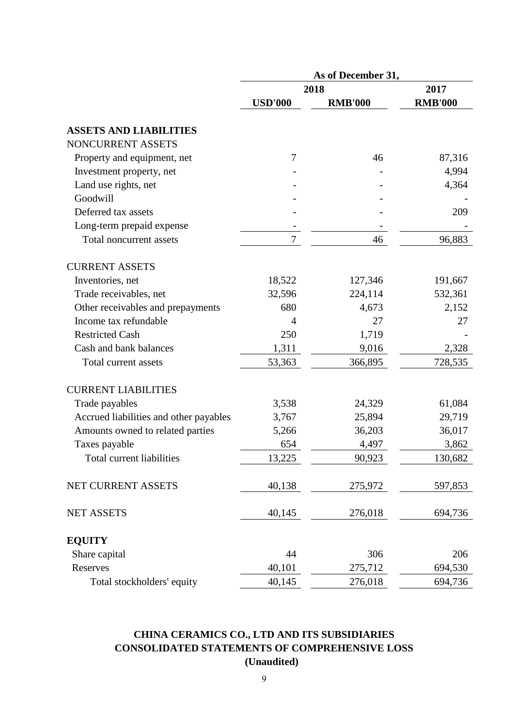|                                        | As of December 31, |                |                |  |  |
|----------------------------------------|--------------------|----------------|----------------|--|--|
|                                        |                    | 2018           | 2017           |  |  |
|                                        | <b>USD'000</b>     | <b>RMB'000</b> | <b>RMB'000</b> |  |  |
| <b>ASSETS AND LIABILITIES</b>          |                    |                |                |  |  |
| NONCURRENT ASSETS                      |                    |                |                |  |  |
| Property and equipment, net            | 7                  | 46             | 87,316         |  |  |
| Investment property, net               |                    |                | 4,994          |  |  |
| Land use rights, net                   |                    |                | 4,364          |  |  |
| Goodwill                               |                    |                |                |  |  |
| Deferred tax assets                    |                    |                | 209            |  |  |
| Long-term prepaid expense              |                    |                |                |  |  |
| Total noncurrent assets                | $\tau$             | 46             | 96,883         |  |  |
| <b>CURRENT ASSETS</b>                  |                    |                |                |  |  |
| Inventories, net                       | 18,522             | 127,346        | 191,667        |  |  |
| Trade receivables, net                 | 32,596             | 224,114        | 532,361        |  |  |
| Other receivables and prepayments      | 680                | 4,673          | 2,152          |  |  |
| Income tax refundable                  | 4                  | 27             | 27             |  |  |
| <b>Restricted Cash</b>                 | 250                | 1,719          |                |  |  |
| Cash and bank balances                 | 1,311              | 9,016          | 2,328          |  |  |
| Total current assets                   | 53,363             | 366,895        | 728,535        |  |  |
| <b>CURRENT LIABILITIES</b>             |                    |                |                |  |  |
| Trade payables                         | 3,538              | 24,329         | 61,084         |  |  |
| Accrued liabilities and other payables | 3,767              | 25,894         | 29,719         |  |  |
| Amounts owned to related parties       | 5,266              | 36,203         | 36,017         |  |  |
| Taxes payable                          | 654                | 4,497          | 3,862          |  |  |
| Total current liabilities              | 13,225             | 90,923         | 130,682        |  |  |
| NET CURRENT ASSETS                     | 40,138             | 275,972        | 597,853        |  |  |
| <b>NET ASSETS</b>                      | 40,145             | 276,018        | 694,736        |  |  |
| <b>EQUITY</b>                          |                    |                |                |  |  |
| Share capital                          | 44                 | 306            | 206            |  |  |
| Reserves                               | 40,101             | 275,712        | 694,530        |  |  |
| Total stockholders' equity             | 40,145             | 276,018        | 694,736        |  |  |

# **CHINA CERAMICS CO., LTD AND ITS SUBSIDIARIES CONSOLIDATED STATEMENTS OF COMPREHENSIVE LOSS (Unaudited)**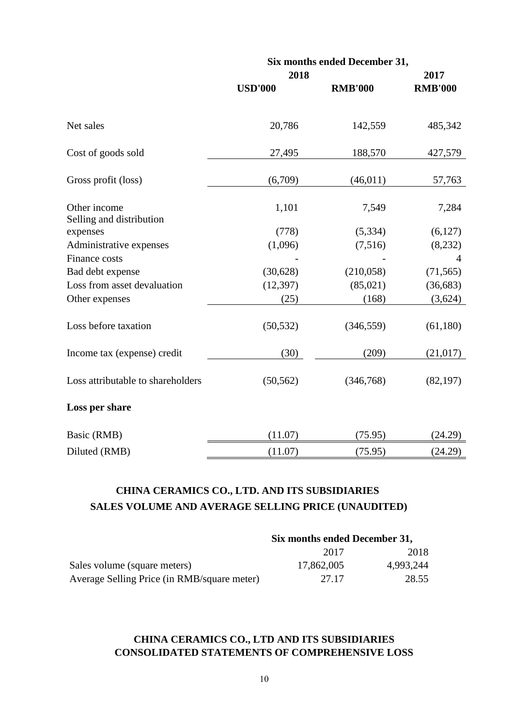|                                          |                | Six months ended December 31, |                |
|------------------------------------------|----------------|-------------------------------|----------------|
|                                          | 2018           |                               | 2017           |
|                                          | <b>USD'000</b> | <b>RMB'000</b>                | <b>RMB'000</b> |
| Net sales                                | 20,786         | 142,559                       | 485,342        |
| Cost of goods sold                       | 27,495         | 188,570                       | 427,579        |
| Gross profit (loss)                      | (6,709)        | (46, 011)                     | 57,763         |
| Other income<br>Selling and distribution | 1,101          | 7,549                         | 7,284          |
| expenses                                 | (778)          | (5, 334)                      | (6,127)        |
| Administrative expenses                  | (1,096)        | (7,516)                       | (8,232)        |
| Finance costs                            |                |                               | $\overline{4}$ |
| Bad debt expense                         | (30,628)       | (210,058)                     | (71, 565)      |
| Loss from asset devaluation              | (12, 397)      | (85,021)                      | (36,683)       |
| Other expenses                           | (25)           | (168)                         | (3,624)        |
| Loss before taxation                     | (50, 532)      | (346, 559)                    | (61, 180)      |
| Income tax (expense) credit              | (30)           | (209)                         | (21, 017)      |
| Loss attributable to shareholders        | (50, 562)      | (346,768)                     | (82, 197)      |
| Loss per share                           |                |                               |                |
| Basic (RMB)                              | (11.07)        | (75.95)                       | (24.29)        |
| Diluted (RMB)                            | (11.07)        | (75.95)                       | (24.29)        |

# **CHINA CERAMICS CO., LTD. AND ITS SUBSIDIARIES SALES VOLUME AND AVERAGE SELLING PRICE (UNAUDITED)**

|                                             | Six months ended December 31, |           |  |
|---------------------------------------------|-------------------------------|-----------|--|
|                                             | 2017                          | 2018      |  |
| Sales volume (square meters)                | 17,862,005                    | 4,993,244 |  |
| Average Selling Price (in RMB/square meter) | 27.17                         | 28.55     |  |

# **CHINA CERAMICS CO., LTD AND ITS SUBSIDIARIES CONSOLIDATED STATEMENTS OF COMPREHENSIVE LOSS**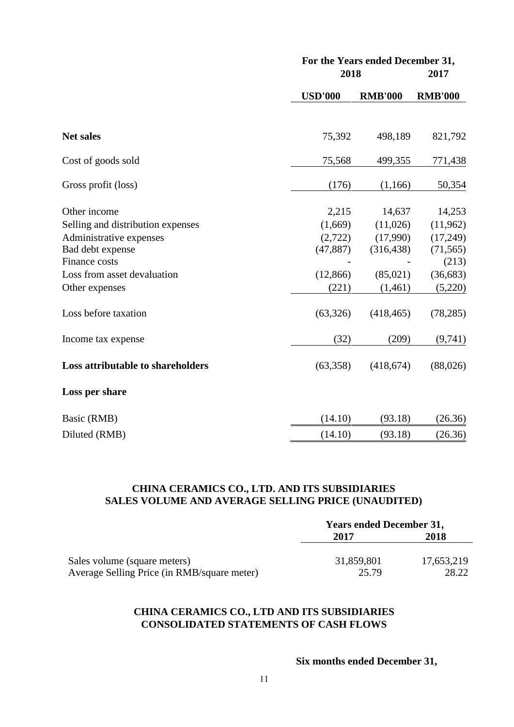|                                                                                                                                                                                                                  |                                                                                     | For the Years ended December 31,<br>2018                                                   |                                                                                                      |  |
|------------------------------------------------------------------------------------------------------------------------------------------------------------------------------------------------------------------|-------------------------------------------------------------------------------------|--------------------------------------------------------------------------------------------|------------------------------------------------------------------------------------------------------|--|
|                                                                                                                                                                                                                  | <b>USD'000</b>                                                                      | <b>RMB'000</b>                                                                             | <b>RMB'000</b>                                                                                       |  |
| <b>Net sales</b>                                                                                                                                                                                                 | 75,392                                                                              | 498,189                                                                                    | 821,792                                                                                              |  |
| Cost of goods sold                                                                                                                                                                                               | 75,568                                                                              | 499,355                                                                                    | 771,438                                                                                              |  |
| Gross profit (loss)                                                                                                                                                                                              | (176)                                                                               | (1,166)                                                                                    | 50,354                                                                                               |  |
| Other income<br>Selling and distribution expenses<br>Administrative expenses<br>Bad debt expense<br>Finance costs<br>Loss from asset devaluation<br>Other expenses<br>Loss before taxation<br>Income tax expense | 2,215<br>(1,669)<br>(2,722)<br>(47, 887)<br>(12, 866)<br>(221)<br>(63, 326)<br>(32) | 14,637<br>(11,026)<br>(17,990)<br>(316, 438)<br>(85,021)<br>(1,461)<br>(418, 465)<br>(209) | 14,253<br>(11,962)<br>(17,249)<br>(71, 565)<br>(213)<br>(36, 683)<br>(5,220)<br>(78, 285)<br>(9,741) |  |
| Loss attributable to shareholders                                                                                                                                                                                | (63,358)                                                                            | (418,674)                                                                                  | (88,026)                                                                                             |  |
| Loss per share                                                                                                                                                                                                   |                                                                                     |                                                                                            |                                                                                                      |  |
| Basic (RMB)                                                                                                                                                                                                      | (14.10)                                                                             | (93.18)                                                                                    | (26.36)                                                                                              |  |
| Diluted (RMB)                                                                                                                                                                                                    | (14.10)                                                                             | (93.18)                                                                                    | (26.36)                                                                                              |  |

# **CHINA CERAMICS CO., LTD. AND ITS SUBSIDIARIES SALES VOLUME AND AVERAGE SELLING PRICE (UNAUDITED)**

|                                             | <b>Years ended December 31,</b> |            |  |
|---------------------------------------------|---------------------------------|------------|--|
|                                             | 2017                            | 2018       |  |
|                                             |                                 |            |  |
| Sales volume (square meters)                | 31,859,801                      | 17,653,219 |  |
| Average Selling Price (in RMB/square meter) | 25.79                           | 28.22      |  |

# **CHINA CERAMICS CO., LTD AND ITS SUBSIDIARIES CONSOLIDATED STATEMENTS OF CASH FLOWS**

# **Six months ended December 31,**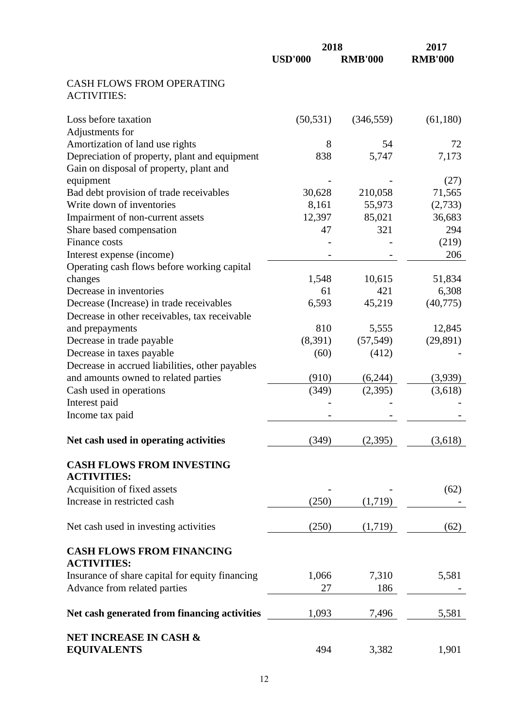|                                                                                                       | 2018           | 2017           |                |
|-------------------------------------------------------------------------------------------------------|----------------|----------------|----------------|
|                                                                                                       | <b>USD'000</b> | <b>RMB'000</b> | <b>RMB'000</b> |
| <b>CASH FLOWS FROM OPERATING</b><br><b>ACTIVITIES:</b>                                                |                |                |                |
| Loss before taxation<br>Adjustments for                                                               | (50, 531)      | (346, 559)     | (61,180)       |
| Amortization of land use rights                                                                       | 8              | 54             | 72             |
| Depreciation of property, plant and equipment<br>Gain on disposal of property, plant and<br>equipment | 838            | 5,747          | 7,173<br>(27)  |
| Bad debt provision of trade receivables                                                               | 30,628         | 210,058        | 71,565         |
| Write down of inventories                                                                             | 8,161          | 55,973         | (2,733)        |
| Impairment of non-current assets                                                                      | 12,397         | 85,021         | 36,683         |
| Share based compensation                                                                              | 47             | 321            | 294            |
| Finance costs                                                                                         |                |                | (219)          |
| Interest expense (income)                                                                             |                |                | 206            |
| Operating cash flows before working capital                                                           |                |                |                |
| changes                                                                                               | 1,548          | 10,615         | 51,834         |
| Decrease in inventories                                                                               | 61             | 421            | 6,308          |
| Decrease (Increase) in trade receivables                                                              | 6,593          | 45,219         | (40,775)       |
| Decrease in other receivables, tax receivable                                                         |                |                |                |
| and prepayments                                                                                       | 810            | 5,555          | 12,845         |
| Decrease in trade payable                                                                             | (8,391)        | (57, 549)      | (29, 891)      |
| Decrease in taxes payable                                                                             | (60)           | (412)          |                |
| Decrease in accrued liabilities, other payables                                                       |                |                |                |
| and amounts owned to related parties                                                                  | (910)          | (6,244)        | (3,939)        |
| Cash used in operations                                                                               | (349)          | (2,395)        | (3,618)        |
| Interest paid                                                                                         |                |                |                |
| Income tax paid                                                                                       |                |                |                |
| Net cash used in operating activities                                                                 | (349)          | (2,395)        | (3,618)        |
| <b>CASH FLOWS FROM INVESTING</b><br><b>ACTIVITIES:</b>                                                |                |                |                |
| Acquisition of fixed assets                                                                           |                |                | (62)           |
| Increase in restricted cash                                                                           | (250)          | (1,719)        |                |
| Net cash used in investing activities                                                                 | (250)          | (1,719)        | (62)           |
| <b>CASH FLOWS FROM FINANCING</b><br><b>ACTIVITIES:</b>                                                |                |                |                |
| Insurance of share capital for equity financing                                                       | 1,066          | 7,310          | 5,581          |
| Advance from related parties                                                                          | 27             | 186            |                |
| Net cash generated from financing activities                                                          | 1,093          | 7,496          | 5,581          |
| <b>NET INCREASE IN CASH &amp;</b>                                                                     |                |                |                |
| <b>EQUIVALENTS</b>                                                                                    | 494            | 3,382          | 1,901          |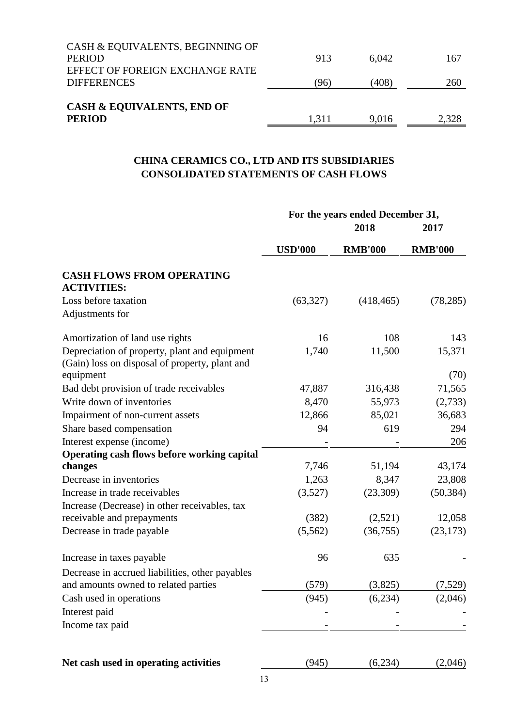| <b>CASH &amp; EQUIVALENTS, END OF</b><br><b>PERIOD</b> | 1,311 | 9.016 | 2,328 |
|--------------------------------------------------------|-------|-------|-------|
| <b>DIFFERENCES</b>                                     | (96)  | (408) | 260   |
| <b>PERIOD</b><br>EFFECT OF FOREIGN EXCHANGE RATE       | 913   | 6.042 | 167   |
| CASH & EQUIVALENTS, BEGINNING OF                       |       |       |       |

# **CHINA CERAMICS CO., LTD AND ITS SUBSIDIARIES CONSOLIDATED STATEMENTS OF CASH FLOWS**

|                                                                                                 | For the years ended December 31, |                |                |  |
|-------------------------------------------------------------------------------------------------|----------------------------------|----------------|----------------|--|
|                                                                                                 |                                  | 2017           |                |  |
|                                                                                                 | <b>USD'000</b>                   | <b>RMB'000</b> | <b>RMB'000</b> |  |
| <b>CASH FLOWS FROM OPERATING</b><br><b>ACTIVITIES:</b>                                          |                                  |                |                |  |
| Loss before taxation                                                                            | (63, 327)                        | (418, 465)     | (78, 285)      |  |
| Adjustments for                                                                                 |                                  |                |                |  |
| Amortization of land use rights                                                                 | 16                               | 108            | 143            |  |
| Depreciation of property, plant and equipment<br>(Gain) loss on disposal of property, plant and | 1,740                            | 11,500         | 15,371         |  |
| equipment                                                                                       |                                  |                | (70)           |  |
| Bad debt provision of trade receivables                                                         | 47,887                           | 316,438        | 71,565         |  |
| Write down of inventories                                                                       | 8,470                            | 55,973         | (2,733)        |  |
| Impairment of non-current assets                                                                | 12,866                           | 85,021         | 36,683         |  |
| Share based compensation                                                                        | 94                               | 619            | 294            |  |
| Interest expense (income)                                                                       |                                  |                | 206            |  |
| Operating cash flows before working capital                                                     |                                  |                |                |  |
| changes                                                                                         | 7,746                            | 51,194         | 43,174         |  |
| Decrease in inventories                                                                         | 1,263                            | 8,347          | 23,808         |  |
| Increase in trade receivables                                                                   | (3,527)                          | (23,309)       | (50, 384)      |  |
| Increase (Decrease) in other receivables, tax                                                   |                                  |                |                |  |
| receivable and prepayments                                                                      | (382)                            | (2,521)        | 12,058         |  |
| Decrease in trade payable                                                                       | (5,562)                          | (36,755)       | (23, 173)      |  |
| Increase in taxes payable                                                                       | 96                               | 635            |                |  |
| Decrease in accrued liabilities, other payables                                                 |                                  |                |                |  |
| and amounts owned to related parties                                                            | (579)                            | (3,825)        | (7,529)        |  |
| Cash used in operations                                                                         | (945)                            | (6,234)        | (2,046)        |  |
| Interest paid                                                                                   |                                  |                |                |  |
| Income tax paid                                                                                 |                                  |                |                |  |
| Net cash used in operating activities                                                           | (945)                            | (6,234)        | (2,046)        |  |
|                                                                                                 |                                  |                |                |  |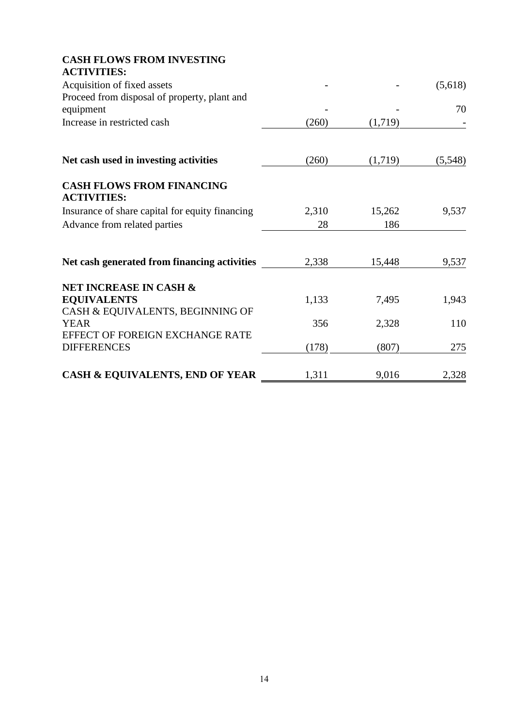| <b>CASH FLOWS FROM INVESTING</b><br><b>ACTIVITIES:</b>    |       |         |         |
|-----------------------------------------------------------|-------|---------|---------|
| Acquisition of fixed assets                               |       |         | (5,618) |
| Proceed from disposal of property, plant and<br>equipment |       |         | 70      |
| Increase in restricted cash                               | (260) | (1,719) |         |
| Net cash used in investing activities                     | (260) | (1,719) | (5,548) |
| <b>CASH FLOWS FROM FINANCING</b><br><b>ACTIVITIES:</b>    |       |         |         |
| Insurance of share capital for equity financing           | 2,310 | 15,262  | 9,537   |
| Advance from related parties                              | 28    | 186     |         |
| Net cash generated from financing activities              | 2,338 | 15,448  | 9,537   |
| <b>NET INCREASE IN CASH &amp;</b>                         |       |         |         |
| <b>EQUIVALENTS</b><br>CASH & EQUIVALENTS, BEGINNING OF    | 1,133 | 7,495   | 1,943   |
| <b>YEAR</b>                                               | 356   | 2,328   | 110     |
| EFFECT OF FOREIGN EXCHANGE RATE<br><b>DIFFERENCES</b>     | (178) | (807)   | 275     |
| <b>CASH &amp; EQUIVALENTS, END OF YEAR</b>                | 1,311 | 9,016   | 2,328   |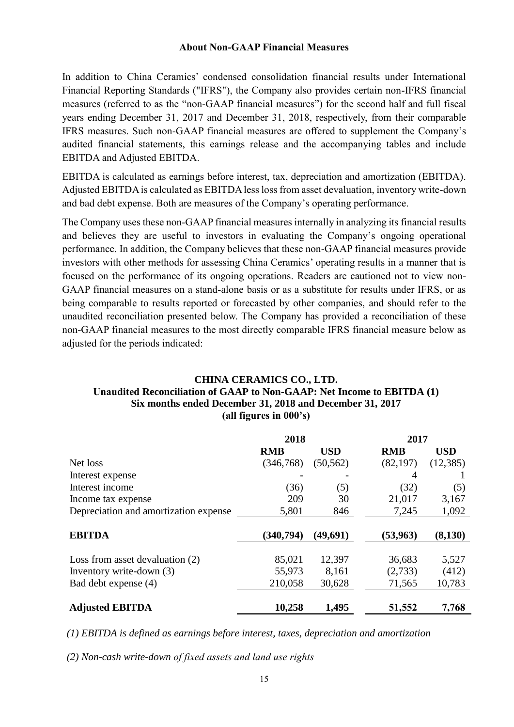#### **About Non-GAAP Financial Measures**

In addition to China Ceramics' condensed consolidation financial results under International Financial Reporting Standards ("IFRS"), the Company also provides certain non-IFRS financial measures (referred to as the "non-GAAP financial measures") for the second half and full fiscal years ending December 31, 2017 and December 31, 2018, respectively, from their comparable IFRS measures. Such non-GAAP financial measures are offered to supplement the Company's audited financial statements, this earnings release and the accompanying tables and include EBITDA and Adjusted EBITDA.

EBITDA is calculated as earnings before interest, tax, depreciation and amortization (EBITDA). Adjusted EBITDA is calculated as EBITDA less loss from asset devaluation, inventory write-down and bad debt expense. Both are measures of the Company's operating performance.

The Company uses these non-GAAP financial measures internally in analyzing its financial results and believes they are useful to investors in evaluating the Company's ongoing operational performance. In addition, the Company believes that these non-GAAP financial measures provide investors with other methods for assessing China Ceramics' operating results in a manner that is focused on the performance of its ongoing operations. Readers are cautioned not to view non-GAAP financial measures on a stand-alone basis or as a substitute for results under IFRS, or as being comparable to results reported or forecasted by other companies, and should refer to the unaudited reconciliation presented below. The Company has provided a reconciliation of these non-GAAP financial measures to the most directly comparable IFRS financial measure below as adjusted for the periods indicated:

#### **CHINA CERAMICS CO., LTD. Unaudited Reconciliation of GAAP to Non-GAAP: Net Income to EBITDA (1) Six months ended December 31, 2018 and December 31, 2017 (all figures in 000's)**

|                                       | 2018       |            | 2017       |            |
|---------------------------------------|------------|------------|------------|------------|
|                                       | <b>RMB</b> | <b>USD</b> | <b>RMB</b> | <b>USD</b> |
| Net loss                              | (346,768)  | (50, 562)  | (82, 197)  | (12, 385)  |
| Interest expense                      |            |            | 4          |            |
| Interest income                       | (36)       | (5)        | (32)       | (5)        |
| Income tax expense                    | 209        | 30         | 21,017     | 3,167      |
| Depreciation and amortization expense | 5,801      | 846        | 7,245      | 1,092      |
| <b>EBITDA</b>                         | (340, 794) | (49,691)   | (53, 963)  | (8,130)    |
| Loss from asset devaluation (2)       | 85,021     | 12,397     | 36,683     | 5,527      |
| Inventory write-down (3)              | 55,973     | 8,161      | (2,733)    | (412)      |
| Bad debt expense (4)                  | 210,058    | 30,628     | 71,565     | 10,783     |
| <b>Adjusted EBITDA</b>                | 10,258     | 1,495      | 51,552     | 7,768      |

*(1) EBITDA is defined as earnings before interest, taxes, depreciation and amortization*

*(2) Non-cash write-down of fixed assets and land use rights*